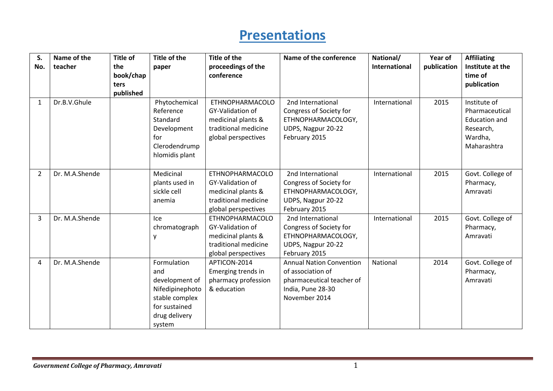## **Presentations**

| S.             | Name of the    | Title of  | Title of the                                                                                                          | Title of the                                                                                                    | Name of the conference                                                                                                  | National/     | Year of     | <b>Affiliating</b>                                                                            |
|----------------|----------------|-----------|-----------------------------------------------------------------------------------------------------------------------|-----------------------------------------------------------------------------------------------------------------|-------------------------------------------------------------------------------------------------------------------------|---------------|-------------|-----------------------------------------------------------------------------------------------|
| No.            | teacher        | the       | paper                                                                                                                 | proceedings of the                                                                                              |                                                                                                                         | International | publication | Institute at the                                                                              |
|                |                | book/chap |                                                                                                                       | conference                                                                                                      |                                                                                                                         |               |             | time of                                                                                       |
|                |                | ters      |                                                                                                                       |                                                                                                                 |                                                                                                                         |               |             | publication                                                                                   |
|                |                | published |                                                                                                                       |                                                                                                                 |                                                                                                                         |               |             |                                                                                               |
| 1              | Dr.B.V.Ghule   |           | Phytochemical<br>Reference<br>Standard<br>Development<br>for<br>Clerodendrump<br>hlomidis plant                       | ETHNOPHARMACOLO<br>GY-Validation of<br>medicinal plants &<br>traditional medicine<br>global perspectives        | 2nd International<br>Congress of Society for<br>ETHNOPHARMACOLOGY,<br>UDPS, Nagpur 20-22<br>February 2015               | International | 2015        | Institute of<br>Pharmaceutical<br><b>Education and</b><br>Research,<br>Wardha,<br>Maharashtra |
|                |                |           |                                                                                                                       |                                                                                                                 |                                                                                                                         |               |             |                                                                                               |
| $\overline{2}$ | Dr. M.A.Shende |           | Medicinal<br>plants used in<br>sickle cell<br>anemia                                                                  | <b>ETHNOPHARMACOLO</b><br>GY-Validation of<br>medicinal plants &<br>traditional medicine<br>global perspectives | 2nd International<br>Congress of Society for<br>ETHNOPHARMACOLOGY,<br>UDPS, Nagpur 20-22<br>February 2015               | International | 2015        | Govt. College of<br>Pharmacy,<br>Amravati                                                     |
| 3              | Dr. M.A.Shende |           | Ice<br>chromatograph<br>у                                                                                             | <b>ETHNOPHARMACOLO</b><br>GY-Validation of<br>medicinal plants &<br>traditional medicine<br>global perspectives | 2nd International<br>Congress of Society for<br>ETHNOPHARMACOLOGY,<br>UDPS, Nagpur 20-22<br>February 2015               | International | 2015        | Govt. College of<br>Pharmacy,<br>Amravati                                                     |
| 4              | Dr. M.A.Shende |           | Formulation<br>and<br>development of<br>Nifedipinephoto<br>stable complex<br>for sustained<br>drug delivery<br>system | APTICON-2014<br>Emerging trends in<br>pharmacy profession<br>& education                                        | <b>Annual Nation Convention</b><br>of association of<br>pharmaceutical teacher of<br>India, Pune 28-30<br>November 2014 | National      | 2014        | Govt. College of<br>Pharmacy,<br>Amravati                                                     |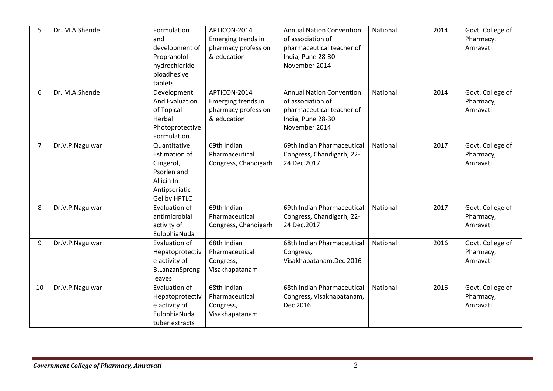| 5              | Dr. M.A.Shende  | Formulation<br>and<br>development of<br>Propranolol<br>hydrochloride<br>bioadhesive<br>tablets                  | APTICON-2014<br>Emerging trends in<br>pharmacy profession<br>& education | <b>Annual Nation Convention</b><br>of association of<br>pharmaceutical teacher of<br>India, Pune 28-30<br>November 2014 | National | 2014 | Govt. College of<br>Pharmacy,<br>Amravati |
|----------------|-----------------|-----------------------------------------------------------------------------------------------------------------|--------------------------------------------------------------------------|-------------------------------------------------------------------------------------------------------------------------|----------|------|-------------------------------------------|
| 6              | Dr. M.A.Shende  | Development<br>And Evaluation<br>of Topical<br>Herbal<br>Photoprotective<br>Formulation.                        | APTICON-2014<br>Emerging trends in<br>pharmacy profession<br>& education | <b>Annual Nation Convention</b><br>of association of<br>pharmaceutical teacher of<br>India, Pune 28-30<br>November 2014 | National | 2014 | Govt. College of<br>Pharmacy,<br>Amravati |
| $\overline{7}$ | Dr.V.P.Nagulwar | Quantitative<br><b>Estimation of</b><br>Gingerol,<br>Psorlen and<br>Allicin In<br>Antipsoriatic<br>Gel by HPTLC | 69th Indian<br>Pharmaceutical<br>Congress, Chandigarh                    | 69th Indian Pharmaceutical<br>Congress, Chandigarh, 22-<br>24 Dec.2017                                                  | National | 2017 | Govt. College of<br>Pharmacy,<br>Amravati |
| 8              | Dr.V.P.Nagulwar | Evaluation of<br>antimicrobial<br>activity of<br>EulophiaNuda                                                   | 69th Indian<br>Pharmaceutical<br>Congress, Chandigarh                    | 69th Indian Pharmaceutical<br>Congress, Chandigarh, 22-<br>24 Dec.2017                                                  | National | 2017 | Govt. College of<br>Pharmacy,<br>Amravati |
| 9              | Dr.V.P.Nagulwar | Evaluation of<br>Hepatoprotectiv<br>e activity of<br><b>B.LanzanSpreng</b><br>leaves                            | 68th Indian<br>Pharmaceutical<br>Congress,<br>Visakhapatanam             | 68th Indian Pharmaceutical<br>Congress,<br>Visakhapatanam, Dec 2016                                                     | National | 2016 | Govt. College of<br>Pharmacy,<br>Amravati |
| 10             | Dr.V.P.Nagulwar | Evaluation of<br>Hepatoprotectiv<br>e activity of<br>EulophiaNuda<br>tuber extracts                             | 68th Indian<br>Pharmaceutical<br>Congress,<br>Visakhapatanam             | 68th Indian Pharmaceutical<br>Congress, Visakhapatanam,<br>Dec 2016                                                     | National | 2016 | Govt. College of<br>Pharmacy,<br>Amravati |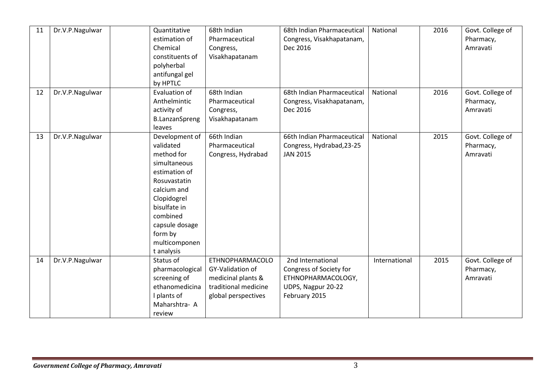| 11 | Dr.V.P.Nagulwar | Quantitative<br>estimation of<br>Chemical<br>constituents of<br>polyherbal<br>antifungal gel<br>by HPTLC                                                                                                         | 68th Indian<br>Pharmaceutical<br>Congress,<br>Visakhapatanam                                                    | 68th Indian Pharmaceutical<br>Congress, Visakhapatanam,<br>Dec 2016                                       | National      | 2016 | Govt. College of<br>Pharmacy,<br>Amravati |
|----|-----------------|------------------------------------------------------------------------------------------------------------------------------------------------------------------------------------------------------------------|-----------------------------------------------------------------------------------------------------------------|-----------------------------------------------------------------------------------------------------------|---------------|------|-------------------------------------------|
| 12 | Dr.V.P.Nagulwar | Evaluation of<br>Anthelmintic<br>activity of<br><b>B.LanzanSpreng</b><br>leaves                                                                                                                                  | 68th Indian<br>Pharmaceutical<br>Congress,<br>Visakhapatanam                                                    | 68th Indian Pharmaceutical<br>Congress, Visakhapatanam,<br>Dec 2016                                       | National      | 2016 | Govt. College of<br>Pharmacy,<br>Amravati |
| 13 | Dr.V.P.Nagulwar | Development of<br>validated<br>method for<br>simultaneous<br>estimation of<br>Rosuvastatin<br>calcium and<br>Clopidogrel<br>bisulfate in<br>combined<br>capsule dosage<br>form by<br>multicomponen<br>t analysis | 66th Indian<br>Pharmaceutical<br>Congress, Hydrabad                                                             | 66th Indian Pharmaceutical<br>Congress, Hydrabad, 23-25<br><b>JAN 2015</b>                                | National      | 2015 | Govt. College of<br>Pharmacy,<br>Amravati |
| 14 | Dr.V.P.Nagulwar | Status of<br>pharmacological<br>screening of<br>ethanomedicina<br>I plants of<br>Maharshtra- A<br>review                                                                                                         | <b>ETHNOPHARMACOLO</b><br>GY-Validation of<br>medicinal plants &<br>traditional medicine<br>global perspectives | 2nd International<br>Congress of Society for<br>ETHNOPHARMACOLOGY,<br>UDPS, Nagpur 20-22<br>February 2015 | International | 2015 | Govt. College of<br>Pharmacy,<br>Amravati |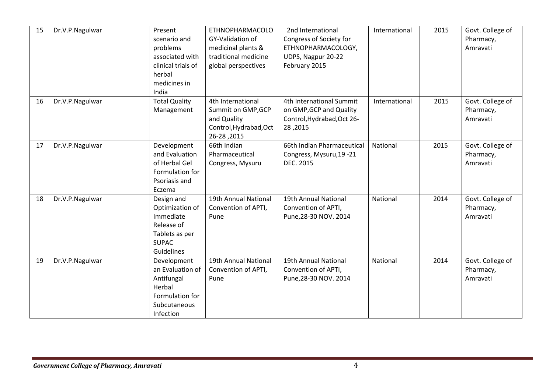| 15 | Dr.V.P.Nagulwar | Present<br>scenario and<br>problems<br>associated with<br>clinical trials of<br>herbal<br>medicines in<br>India | <b>ETHNOPHARMACOLO</b><br>GY-Validation of<br>medicinal plants &<br>traditional medicine<br>global perspectives | 2nd International<br>Congress of Society for<br>ETHNOPHARMACOLOGY,<br>UDPS, Nagpur 20-22<br>February 2015 | International | 2015 | Govt. College of<br>Pharmacy,<br>Amravati |
|----|-----------------|-----------------------------------------------------------------------------------------------------------------|-----------------------------------------------------------------------------------------------------------------|-----------------------------------------------------------------------------------------------------------|---------------|------|-------------------------------------------|
| 16 | Dr.V.P.Nagulwar | <b>Total Quality</b><br>Management                                                                              | 4th International<br>Summit on GMP, GCP<br>and Quality<br>Control, Hydrabad, Oct<br>2015, 20-20                 | 4th International Summit<br>on GMP, GCP and Quality<br>Control, Hydrabad, Oct 26-<br>28,2015              | International | 2015 | Govt. College of<br>Pharmacy,<br>Amravati |
| 17 | Dr.V.P.Nagulwar | Development<br>and Evaluation<br>of Herbal Gel<br>Formulation for<br>Psoriasis and<br>Eczema                    | 66th Indian<br>Pharmaceutical<br>Congress, Mysuru                                                               | 66th Indian Pharmaceutical<br>Congress, Mysuru, 19 - 21<br>DEC. 2015                                      | National      | 2015 | Govt. College of<br>Pharmacy,<br>Amravati |
| 18 | Dr.V.P.Nagulwar | Design and<br>Optimization of<br>Immediate<br>Release of<br>Tablets as per<br><b>SUPAC</b><br>Guidelines        | 19th Annual National<br>Convention of APTI,<br>Pune                                                             | 19th Annual National<br>Convention of APTI,<br>Pune, 28-30 NOV. 2014                                      | National      | 2014 | Govt. College of<br>Pharmacy,<br>Amravati |
| 19 | Dr.V.P.Nagulwar | Development<br>an Evaluation of<br>Antifungal<br>Herbal<br>Formulation for<br>Subcutaneous<br>Infection         | 19th Annual National<br>Convention of APTI,<br>Pune                                                             | 19th Annual National<br>Convention of APTI,<br>Pune, 28-30 NOV. 2014                                      | National      | 2014 | Govt. College of<br>Pharmacy,<br>Amravati |